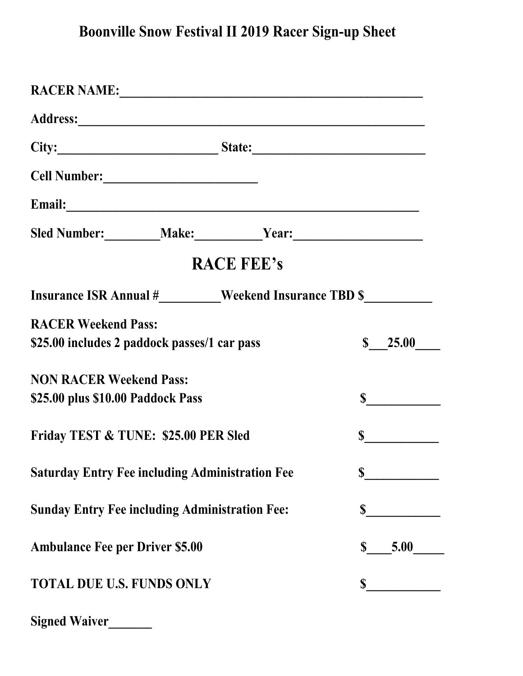## **Boonville Snow Festival II 2019 Racer Sign-up Sheet**

| RACER NAME: 2008 CONTRACTER NAMES                                                  |  |                   |                     |  |
|------------------------------------------------------------------------------------|--|-------------------|---------------------|--|
|                                                                                    |  |                   |                     |  |
|                                                                                    |  |                   |                     |  |
|                                                                                    |  |                   |                     |  |
| Email:                                                                             |  |                   |                     |  |
| Sled Number: _________Make: ____________Year: ___________________________________  |  |                   |                     |  |
|                                                                                    |  | <b>RACE FEE's</b> |                     |  |
| Insurance ISR Annual #________Weekend Insurance TBD \$____________________________ |  |                   |                     |  |
| <b>RACER Weekend Pass:</b>                                                         |  |                   | $\$\ 25.00$         |  |
| \$25.00 includes 2 paddock passes/1 car pass                                       |  |                   |                     |  |
| <b>NON RACER Weekend Pass:</b>                                                     |  |                   |                     |  |
| \$25.00 plus \$10.00 Paddock Pass                                                  |  |                   | $\sim$              |  |
| Friday TEST & TUNE: \$25.00 PER Sled                                               |  |                   |                     |  |
| <b>Saturday Entry Fee including Administration Fee</b>                             |  |                   | S                   |  |
| <b>Sunday Entry Fee including Administration Fee:</b>                              |  |                   | \$                  |  |
| <b>Ambulance Fee per Driver \$5.00</b>                                             |  |                   | 5.00<br>$\mathbf S$ |  |
| <b>TOTAL DUE U.S. FUNDS ONLY</b>                                                   |  |                   |                     |  |
|                                                                                    |  |                   |                     |  |

| <b>Signed Waiver</b> |  |
|----------------------|--|
|                      |  |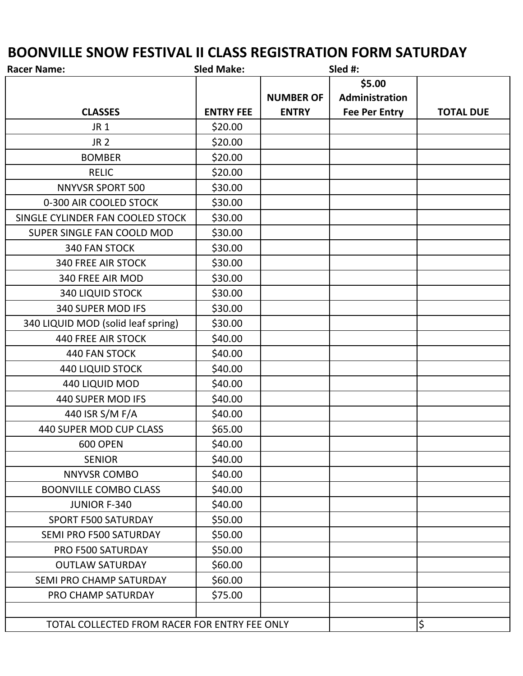## **BOONVILLE SNOW FESTIVAL II CLASS REGISTRATION FORM SATURDAY**

| <b>Racer Name:</b>                            | <b>Sled Make:</b> |                  | Sled #:              |                  |
|-----------------------------------------------|-------------------|------------------|----------------------|------------------|
|                                               |                   |                  | \$5.00               |                  |
|                                               |                   | <b>NUMBER OF</b> | Administration       |                  |
| <b>CLASSES</b>                                | <b>ENTRY FEE</b>  | <b>ENTRY</b>     | <b>Fee Per Entry</b> | <b>TOTAL DUE</b> |
| <b>JR1</b>                                    | \$20.00           |                  |                      |                  |
| <b>JR 2</b>                                   | \$20.00           |                  |                      |                  |
| <b>BOMBER</b>                                 | \$20.00           |                  |                      |                  |
| <b>RELIC</b>                                  | \$20.00           |                  |                      |                  |
| <b>NNYVSR SPORT 500</b>                       | \$30.00           |                  |                      |                  |
| 0-300 AIR COOLED STOCK                        | \$30.00           |                  |                      |                  |
| SINGLE CYLINDER FAN COOLED STOCK              | \$30.00           |                  |                      |                  |
| SUPER SINGLE FAN COOLD MOD                    | \$30.00           |                  |                      |                  |
| 340 FAN STOCK                                 | \$30.00           |                  |                      |                  |
| <b>340 FREE AIR STOCK</b>                     | \$30.00           |                  |                      |                  |
| 340 FREE AIR MOD                              | \$30.00           |                  |                      |                  |
| <b>340 LIQUID STOCK</b>                       | \$30.00           |                  |                      |                  |
| 340 SUPER MOD IFS                             | \$30.00           |                  |                      |                  |
| 340 LIQUID MOD (solid leaf spring)            | \$30.00           |                  |                      |                  |
| <b>440 FREE AIR STOCK</b>                     | \$40.00           |                  |                      |                  |
| <b>440 FAN STOCK</b>                          | \$40.00           |                  |                      |                  |
| <b>440 LIQUID STOCK</b>                       | \$40.00           |                  |                      |                  |
| 440 LIQUID MOD                                | \$40.00           |                  |                      |                  |
| 440 SUPER MOD IFS                             | \$40.00           |                  |                      |                  |
| 440 ISR S/M F/A                               | \$40.00           |                  |                      |                  |
| 440 SUPER MOD CUP CLASS                       | \$65.00           |                  |                      |                  |
| <b>600 OPEN</b>                               | \$40.00           |                  |                      |                  |
| <b>SENIOR</b>                                 | \$40.00           |                  |                      |                  |
| <b>NNYVSR COMBO</b>                           | \$40.00           |                  |                      |                  |
| <b>BOONVILLE COMBO CLASS</b>                  | \$40.00           |                  |                      |                  |
| <b>JUNIOR F-340</b>                           | \$40.00           |                  |                      |                  |
| <b>SPORT F500 SATURDAY</b>                    | \$50.00           |                  |                      |                  |
| SEMI PRO F500 SATURDAY                        | \$50.00           |                  |                      |                  |
| PRO F500 SATURDAY                             | \$50.00           |                  |                      |                  |
| <b>OUTLAW SATURDAY</b>                        | \$60.00           |                  |                      |                  |
| SEMI PRO CHAMP SATURDAY                       | \$60.00           |                  |                      |                  |
| PRO CHAMP SATURDAY                            | \$75.00           |                  |                      |                  |
|                                               |                   |                  |                      |                  |
| TOTAL COLLECTED FROM RACER FOR ENTRY FEE ONLY |                   |                  |                      | \$               |